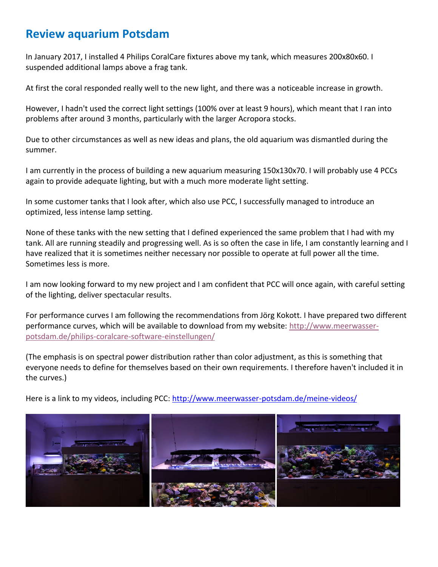## **Review aquarium Potsdam**

In January 2017, I installed 4 Philips CoralCare fixtures above my tank, which measures 200x80x60. I suspended additional lamps above a frag tank.

At first the coral responded really well to the new light, and there was a noticeable increase in growth.

However, I hadn't used the correct light settings (100% over at least 9 hours), which meant that I ran into problems after around 3 months, particularly with the larger Acropora stocks.

Due to other circumstances as well as new ideas and plans, the old aquarium was dismantled during the summer.

I am currently in the process of building a new aquarium measuring 150x130x70. I will probably use 4 PCCs again to provide adequate lighting, but with a much more moderate light setting.

In some customer tanks that I look after, which also use PCC, I successfully managed to introduce an optimized, less intense lamp setting.

None of these tanks with the new setting that I defined experienced the same problem that I had with my tank. All are running steadily and progressing well. As is so often the case in life, I am constantly learning and I have realized that it is sometimes neither necessary nor possible to operate at full power all the time. Sometimes less is more.

I am now looking forward to my new project and I am confident that PCC will once again, with careful setting of the lighting, deliver spectacular results.

For performance curves I am following the recommendations from Jörg Kokott. I have prepared two different performance curves, which will be available to download from my website: [http://www.meerwasser](http://www.meerwasser-potsdam.de/philips-coralcare-software-einstellungen/)[potsdam.de/philips-coralcare-software-einstellungen/](http://www.meerwasser-potsdam.de/philips-coralcare-software-einstellungen/)

(The emphasis is on spectral power distribution rather than color adjustment, as this is something that everyone needs to define for themselves based on their own requirements. I therefore haven't included it in the curves.)

Here is a link to my videos, including PCC:<http://www.meerwasser-potsdam.de/meine-videos/>